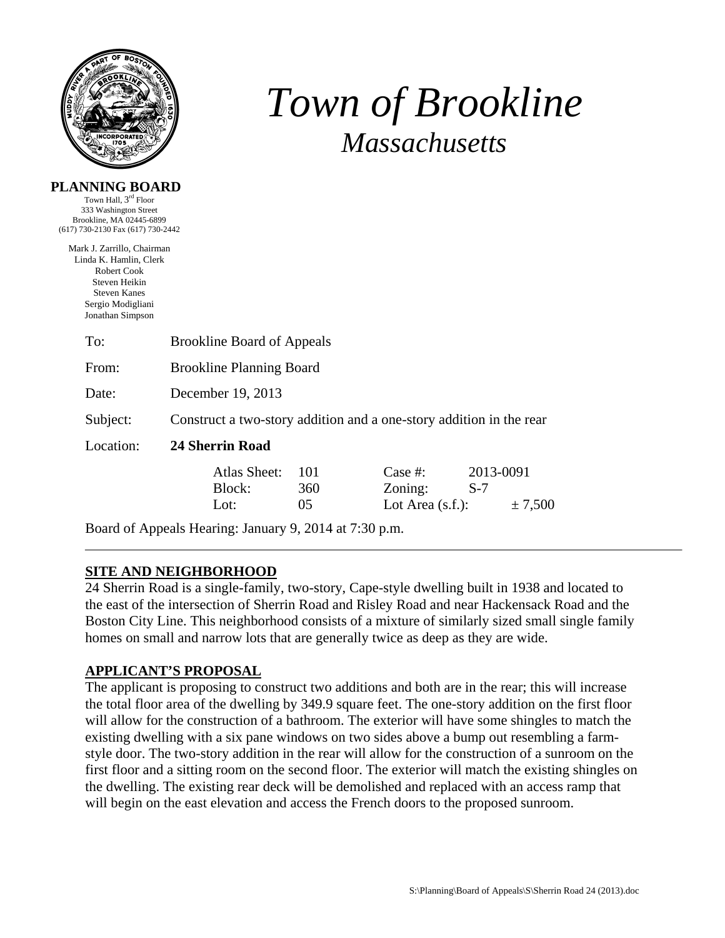

**PLANNING BOARD**  Town Hall, 3rd Floor

# *Town of Brookline Massachusetts*

| 333 Washington Street<br>Brookline, MA 02445-6899<br>(617) 730-2130 Fax (617) 730-2442                                                               |                                                                     |                  |                                           |                    |         |  |  |
|------------------------------------------------------------------------------------------------------------------------------------------------------|---------------------------------------------------------------------|------------------|-------------------------------------------|--------------------|---------|--|--|
| Mark J. Zarrillo, Chairman<br>Linda K. Hamlin, Clerk<br>Robert Cook<br>Steven Heikin<br><b>Steven Kanes</b><br>Sergio Modigliani<br>Jonathan Simpson |                                                                     |                  |                                           |                    |         |  |  |
| To:                                                                                                                                                  | <b>Brookline Board of Appeals</b>                                   |                  |                                           |                    |         |  |  |
| From:                                                                                                                                                | <b>Brookline Planning Board</b>                                     |                  |                                           |                    |         |  |  |
| Date:                                                                                                                                                | December 19, 2013                                                   |                  |                                           |                    |         |  |  |
| Subject:                                                                                                                                             | Construct a two-story addition and a one-story addition in the rear |                  |                                           |                    |         |  |  |
| Location:                                                                                                                                            | <b>24 Sherrin Road</b>                                              |                  |                                           |                    |         |  |  |
|                                                                                                                                                      | Atlas Sheet:<br>Block:<br>Lot:                                      | 101<br>360<br>05 | Case #:<br>Zoning:<br>Lot Area $(s.f.)$ : | 2013-0091<br>$S-7$ | ± 7,500 |  |  |
|                                                                                                                                                      | Board of Appeals Hearing: January 9, 2014 at 7:30 p.m.              |                  |                                           |                    |         |  |  |

## **SITE AND NEIGHBORHOOD**

24 Sherrin Road is a single-family, two-story, Cape-style dwelling built in 1938 and located to the east of the intersection of Sherrin Road and Risley Road and near Hackensack Road and the Boston City Line. This neighborhood consists of a mixture of similarly sized small single family homes on small and narrow lots that are generally twice as deep as they are wide.

#### **APPLICANT'S PROPOSAL**

The applicant is proposing to construct two additions and both are in the rear; this will increase the total floor area of the dwelling by 349.9 square feet. The one-story addition on the first floor will allow for the construction of a bathroom. The exterior will have some shingles to match the existing dwelling with a six pane windows on two sides above a bump out resembling a farmstyle door. The two-story addition in the rear will allow for the construction of a sunroom on the first floor and a sitting room on the second floor. The exterior will match the existing shingles on the dwelling. The existing rear deck will be demolished and replaced with an access ramp that will begin on the east elevation and access the French doors to the proposed sunroom.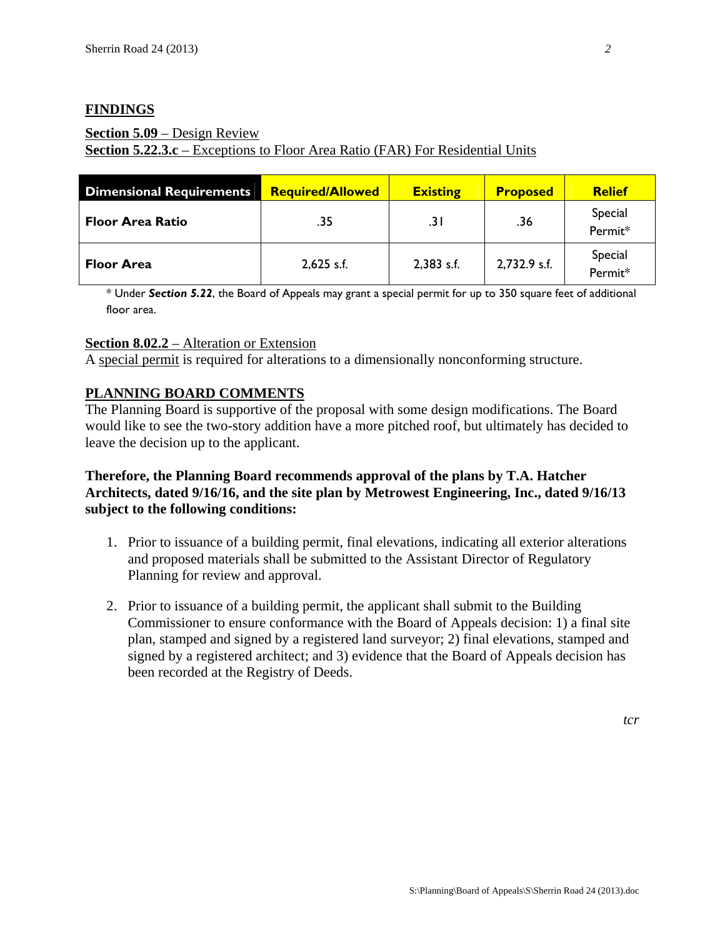## **FINDINGS**

## **Section 5.09** – Design Review **Section 5.22.3.c** – Exceptions to Floor Area Ratio (FAR) For Residential Units

| <b>Dimensional Requirements</b> | <b>Required/Allowed</b> | <b>Existing</b> | <b>Proposed</b> | <b>Relief</b>      |
|---------------------------------|-------------------------|-----------------|-----------------|--------------------|
| <b>Floor Area Ratio</b>         | .35                     | .3 I            | .36             | Special<br>Permit* |
| <b>Floor Area</b>               | $2,625$ s.f.            | $2,383$ s.f.    | 2,732.9 s.f.    | Special<br>Permit* |

\* Under *Section 5.22*, the Board of Appeals may grant a special permit for up to 350 square feet of additional floor area.

#### **Section 8.02.2** – Alteration or Extension

A special permit is required for alterations to a dimensionally nonconforming structure.

#### **PLANNING BOARD COMMENTS**

The Planning Board is supportive of the proposal with some design modifications. The Board would like to see the two-story addition have a more pitched roof, but ultimately has decided to leave the decision up to the applicant.

#### **Therefore, the Planning Board recommends approval of the plans by T.A. Hatcher Architects, dated 9/16/16, and the site plan by Metrowest Engineering, Inc., dated 9/16/13 subject to the following conditions:**

- 1. Prior to issuance of a building permit, final elevations, indicating all exterior alterations and proposed materials shall be submitted to the Assistant Director of Regulatory Planning for review and approval.
- 2. Prior to issuance of a building permit, the applicant shall submit to the Building Commissioner to ensure conformance with the Board of Appeals decision: 1) a final site plan, stamped and signed by a registered land surveyor; 2) final elevations, stamped and signed by a registered architect; and 3) evidence that the Board of Appeals decision has been recorded at the Registry of Deeds.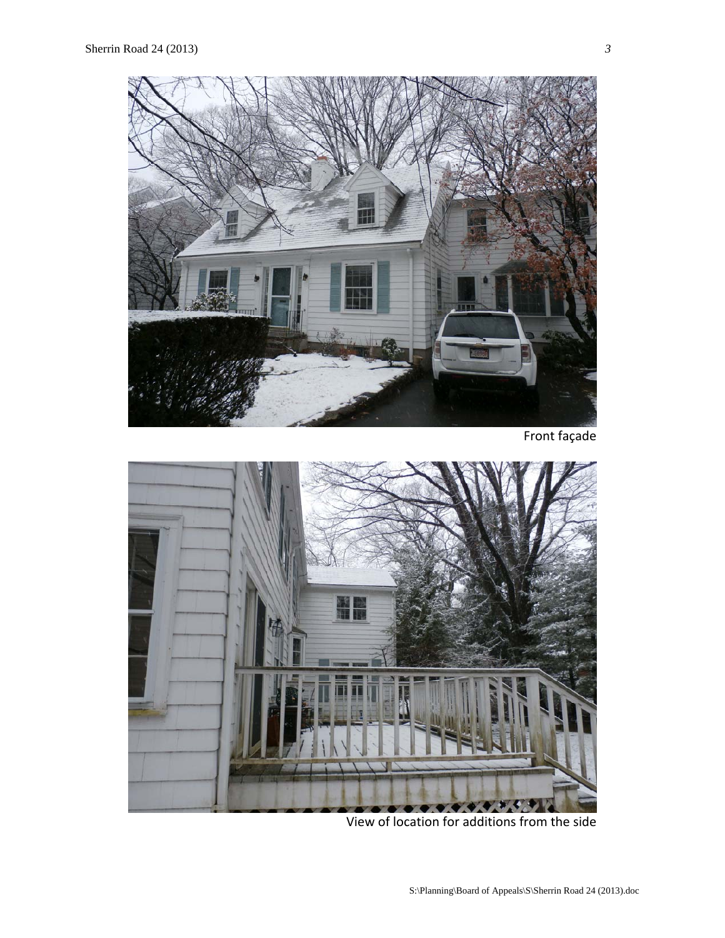

Front façade



View of location for additions from the side